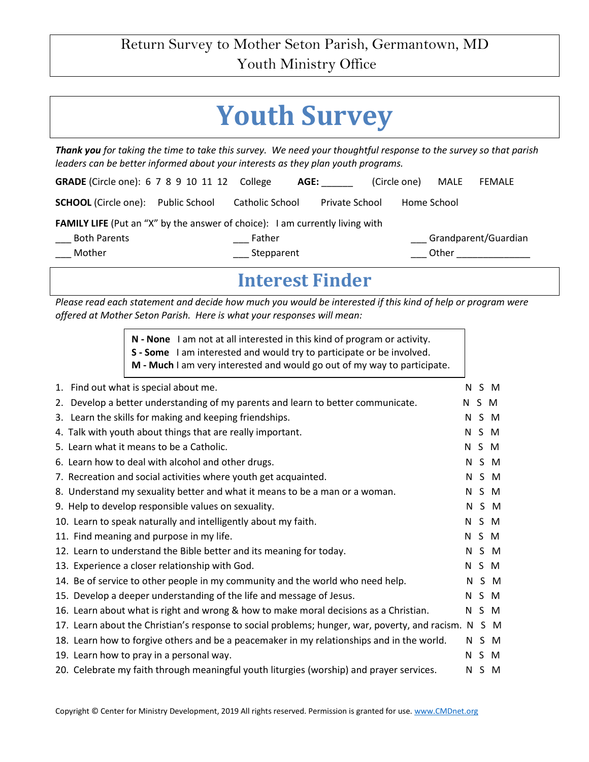## **Youth Survey**

*Thank you for taking the time to take this survey. We need your thoughtful response to the survey so that parish leaders can be better informed about your interests as they plan youth programs.* 

| <b>GRADE</b> (Circle one): 6 7 8 9 10 11 12 College                                 |                 | AGE:                  | (Circle one) | MALE  | <b>FEMALE</b>        |
|-------------------------------------------------------------------------------------|-----------------|-----------------------|--------------|-------|----------------------|
| <b>SCHOOL</b> (Circle one): Public School                                           | Catholic School | <b>Private School</b> | Home School  |       |                      |
| <b>FAMILY LIFE</b> (Put an "X" by the answer of choice): I am currently living with |                 |                       |              |       |                      |
| <b>Both Parents</b>                                                                 | Father          |                       |              |       | Grandparent/Guardian |
| Mother                                                                              | Stepparent      |                       |              | Other |                      |

## **Interest Finder**

*Please read each statement and decide how much you would be interested if this kind of help or program were offered at Mother Seton Parish. Here is what your responses will mean:* 

> **N - None** I am not at all interested in this kind of program or activity. **S - Some** I am interested and would try to participate or be involved. **M - Much** I am very interested and would go out of my way to participate.

| 1. Find out what is special about me.                                                                |    |     | N S M |
|------------------------------------------------------------------------------------------------------|----|-----|-------|
| 2. Develop a better understanding of my parents and learn to better communicate.                     | N. | S M |       |
| 3. Learn the skills for making and keeping friendships.                                              |    |     | N S M |
| 4. Talk with youth about things that are really important.                                           |    |     | N S M |
| 5. Learn what it means to be a Catholic.                                                             |    |     | N S M |
| 6. Learn how to deal with alcohol and other drugs.                                                   |    |     | N S M |
| 7. Recreation and social activities where youth get acquainted.                                      |    |     | N S M |
| 8. Understand my sexuality better and what it means to be a man or a woman.                          |    |     | N S M |
| 9. Help to develop responsible values on sexuality.                                                  |    |     | N S M |
| 10. Learn to speak naturally and intelligently about my faith.                                       |    |     | N S M |
| 11. Find meaning and purpose in my life.                                                             |    |     | N S M |
| 12. Learn to understand the Bible better and its meaning for today.                                  |    |     | N S M |
| 13. Experience a closer relationship with God.                                                       |    |     | N S M |
| 14. Be of service to other people in my community and the world who need help.                       |    |     | N S M |
| 15. Develop a deeper understanding of the life and message of Jesus.                                 |    |     | N S M |
| 16. Learn about what is right and wrong & how to make moral decisions as a Christian.                |    |     | N S M |
| 17. Learn about the Christian's response to social problems; hunger, war, poverty, and racism. N S M |    |     |       |
| 18. Learn how to forgive others and be a peacemaker in my relationships and in the world.            |    |     | N S M |
| 19. Learn how to pray in a personal way.                                                             |    |     | N S M |
| 20. Celebrate my faith through meaningful youth liturgies (worship) and prayer services.             |    |     | N S M |